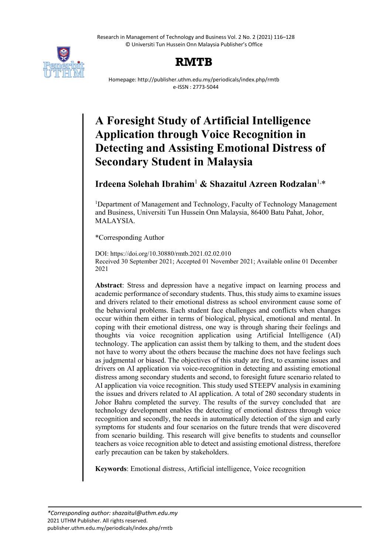Research in Management of Technology and Business Vol. 2 No. 2 (2021) 116–128 © Universiti Tun Hussein Onn Malaysia Publisher's Office



# **RMTB**

Homepage: http://publisher.uthm.edu.my/periodicals/index.php/rmtb e-ISSN : 2773-5044

# **A Foresight Study of Artificial Intelligence Application through Voice Recognition in Detecting and Assisting Emotional Distress of Secondary Student in Malaysia**

# **Irdeena Solehah Ibrahim**<sup>1</sup> **& Shazaitul Azreen Rodzalan**1, \*

<sup>1</sup>Department of Management and Technology, Faculty of Technology Management and Business, Universiti Tun Hussein Onn Malaysia, 86400 Batu Pahat, Johor, MALAYSIA.

\*Corresponding Author

DOI: https://doi.org/10.30880/rmtb.2021.02.02.010 Received 30 September 2021; Accepted 01 November 2021; Available online 01 December 2021

**Abstract**: Stress and depression have a negative impact on learning process and academic performance of secondary students. Thus, this study aims to examine issues and drivers related to their emotional distress as school environment cause some of the behavioral problems. Each student face challenges and conflicts when changes occur within them either in terms of biological, physical, emotional and mental. In coping with their emotional distress, one way is through sharing their feelings and thoughts via voice recognition application using Artificial Intelligence (AI) technology. The application can assist them by talking to them, and the student does not have to worry about the others because the machine does not have feelings such as judgmental or biased. The objectives of this study are first, to examine issues and drivers on AI application via voice-recognition in detecting and assisting emotional distress among secondary students and second, to foresight future scenario related to AI application via voice recognition. This study used STEEPV analysis in examining the issues and drivers related to AI application. A total of 280 secondary students in Johor Bahru completed the survey. The results of the survey concluded that are technology development enables the detecting of emotional distress through voice recognition and secondly, the needs in automatically detection of the sign and early symptoms for students and four scenarios on the future trends that were discovered from scenario building. This research will give benefits to students and counsellor teachers as voice recognition able to detect and assisting emotional distress, therefore early precaution can be taken by stakeholders.

**Keywords**: Emotional distress, Artificial intelligence, Voice recognition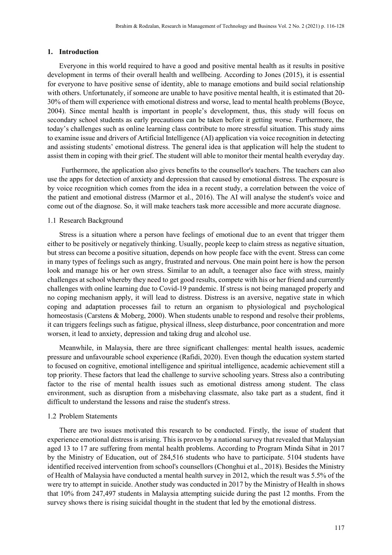#### **1. Introduction**

Everyone in this world required to have a good and positive mental health as it results in positive development in terms of their overall health and wellbeing. According to Jones (2015), it is essential for everyone to have positive sense of identity, able to manage emotions and build social relationship with others. Unfortunately, if someone are unable to have positive mental health, it is estimated that 20- 30% of them will experience with emotional distress and worse, lead to mental health problems (Boyce, 2004). Since mental health is important in people's development, thus, this study will focus on secondary school students as early precautions can be taken before it getting worse. Furthermore, the today's challenges such as online learning class contribute to more stressful situation. This study aims to examine issue and drivers of Artificial Intelligence (AI) application via voice recognition in detecting and assisting students' emotional distress. The general idea is that application will help the student to assist them in coping with their grief. The student will able to monitor their mental health everyday day.

Furthermore, the application also gives benefits to the counsellor's teachers. The teachers can also use the apps for detection of anxiety and depression that caused by emotional distress. The exposure is by voice recognition which comes from the idea in a recent study, a correlation between the voice of the patient and emotional distress (Marmor et al., 2016). The AI will analyse the student's voice and come out of the diagnose. So, it will make teachers task more accessible and more accurate diagnose.

#### 1.1 Research Background

Stress is a situation where a person have feelings of emotional due to an event that trigger them either to be positively or negatively thinking. Usually, people keep to claim stress as negative situation, but stress can become a positive situation, depends on how people face with the event. Stress can come in many types of feelings such as angry, frustrated and nervous. One main point here is how the person look and manage his or her own stress. Similar to an adult, a teenager also face with stress, mainly challenges at school whereby they need to get good results, compete with his or her friend and currently challenges with online learning due to Covid-19 pandemic. If stress is not being managed properly and no coping mechanism apply, it will lead to distress. Distress is an aversive, negative state in which coping and adaptation processes fail to return an organism to physiological and psychological homeostasis (Carstens & Moberg, 2000). When students unable to respond and resolve their problems, it can triggers feelings such as fatigue, physical illness, sleep disturbance, poor concentration and more worsen, it lead to anxiety, depression and taking drug and alcohol use.

Meanwhile, in Malaysia, there are three significant challenges: mental health issues, academic pressure and unfavourable school experience (Rafidi, 2020). Even though the education system started to focused on cognitive, emotional intelligence and spiritual intelligence, academic achievement still a top priority. These factors that lead the challenge to survive schooling years. Stress also a contributing factor to the rise of mental health issues such as emotional distress among student. The class environment, such as disruption from a misbehaving classmate, also take part as a student, find it difficult to understand the lessons and raise the student's stress.

#### 1.2 Problem Statements

There are two issues motivated this research to be conducted. Firstly, the issue of student that experience emotional distress is arising. This is proven by a national survey that revealed that Malaysian aged 13 to 17 are suffering from mental health problems. According to Program Minda Sihat in 2017 by the Ministry of Education, out of 284,516 students who have to participate. 5104 students have identified received intervention from school's counsellors (Chonghui et al., 2018). Besides the Ministry of Health of Malaysia have conducted a mental health survey in 2012, which the result was 5.5% of the were try to attempt in suicide. Another study was conducted in 2017 by the Ministry of Health in shows that 10% from 247,497 students in Malaysia attempting suicide during the past 12 months. From the survey shows there is rising suicidal thought in the student that led by the emotional distress.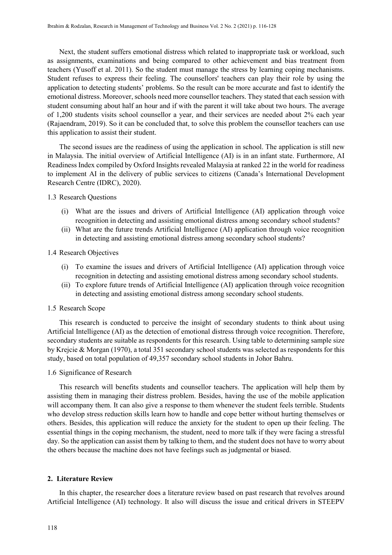Next, the student suffers emotional distress which related to inappropriate task or workload, such as assignments, examinations and being compared to other achievement and bias treatment from teachers (Yusoff et al. 2011). So the student must manage the stress by learning coping mechanisms. Student refuses to express their feeling. The counsellors' teachers can play their role by using the application to detecting students' problems. So the result can be more accurate and fast to identify the emotional distress. Moreover, schools need more counsellor teachers. They stated that each session with student consuming about half an hour and if with the parent it will take about two hours. The average of 1,200 students visits school counsellor a year, and their services are needed about 2% each year (Rajaendram, 2019). So it can be concluded that, to solve this problem the counsellor teachers can use this application to assist their student.

The second issues are the readiness of using the application in school. The application is still new in Malaysia. The initial overview of Artificial Intelligence (AI) is in an infant state. Furthermore, AI Readiness Index compiled by Oxford Insights revealed Malaysia at ranked 22 in the world for readiness to implement AI in the delivery of public services to citizens (Canada's International Development Research Centre (IDRC), 2020).

#### 1.3 Research Questions

- (i) What are the issues and drivers of Artificial Intelligence (AI) application through voice recognition in detecting and assisting emotional distress among secondary school students?
- (ii) What are the future trends Artificial Intelligence (AI) application through voice recognition in detecting and assisting emotional distress among secondary school students?

#### 1.4 Research Objectives

- (i) To examine the issues and drivers of Artificial Intelligence (AI) application through voice recognition in detecting and assisting emotional distress among secondary school students.
- (ii) To explore future trends of Artificial Intelligence (AI) application through voice recognition in detecting and assisting emotional distress among secondary school students.

## 1.5 Research Scope

This research is conducted to perceive the insight of secondary students to think about using Artificial Intelligence (AI) as the detection of emotional distress through voice recognition. Therefore, secondary students are suitable as respondents for this research. Using table to determining sample size by Krejcie & Morgan (1970), a total 351 secondary school students was selected as respondents for this study, based on total population of 49,357 secondary school students in Johor Bahru.

#### 1.6 Significance of Research

This research will benefits students and counsellor teachers. The application will help them by assisting them in managing their distress problem. Besides, having the use of the mobile application will accompany them. It can also give a response to them whenever the student feels terrible. Students who develop stress reduction skills learn how to handle and cope better without hurting themselves or others. Besides, this application will reduce the anxiety for the student to open up their feeling. The essential things in the coping mechanism, the student, need to more talk if they were facing a stressful day. So the application can assist them by talking to them, and the student does not have to worry about the others because the machine does not have feelings such as judgmental or biased.

#### **2. Literature Review**

In this chapter, the researcher does a literature review based on past research that revolves around Artificial Intelligence (AI) technology. It also will discuss the issue and critical drivers in STEEPV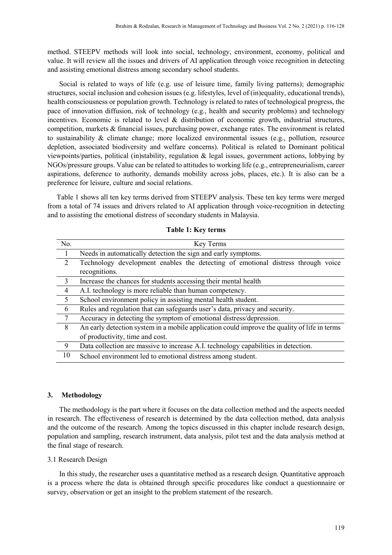method. STEEPV methods will look into social, technology, environment, economy, political and value. It will review all the issues and drivers of AI application through voice recognition in detecting and assisting emotional distress among secondary school students.

Social is related to ways of life (e.g. use of leisure time, family living patterns); demographic structures, social inclusion and cohesion issues (e.g. lifestyles, level of (in)equality, educational trends), health consciousness or population growth. Technology is related to rates of technological progress, the pace of innovation diffusion, risk of technology (e.g., health and security problems) and technology incentives. Economic is related to level  $\&$  distribution of economic growth, industrial structures, competition, markets & financial issues, purchasing power, exchange rates. The environment is related to sustainability & climate change; more localized environmental issues (e.g., pollution, resource depletion, associated biodiversity and welfare concerns). Political is related to Dominant political viewpoints/parties, political (in)stability, regulation & legal issues, government actions, lobbying by NGOs/pressure groups. Value can be related to attitudes to working life (e.g., entrepreneurialism, career aspirations, deference to authority, demands mobility across jobs, places, etc.). It is also can be a preference for leisure, culture and social relations.

Table 1 shows all ten key terms derived from STEEPV analysis. These ten key terms were merged from a total of 74 issues and drivers related to AI application through voice-recognition in detecting and to assisting the emotional distress of secondary students in Malaysia.

| No.            | Key Terms                                                                                    |
|----------------|----------------------------------------------------------------------------------------------|
| $\overline{1}$ | Needs in automatically detection the sign and early symptoms.                                |
| $\overline{2}$ | Technology development enables the detecting of emotional distress through voice             |
|                | recognitions.                                                                                |
| 3              | Increase the chances for students accessing their mental health                              |
| $\overline{4}$ | A.I. technology is more reliable than human competency.                                      |
| 5              | School environment policy in assisting mental health student.                                |
| 6              | Rules and regulation that can safeguards user's data, privacy and security.                  |
| 7              | Accuracy in detecting the symptom of emotional distress/depression.                          |
| 8              | An early detection system in a mobile application could improve the quality of life in terms |
|                | of productivity, time and cost.                                                              |
| 9              | Data collection are massive to increase A.I. technology capabilities in detection.           |
| 10             | School environment led to emotional distress among student.                                  |

**Table 1: Key terms**

#### **3. Methodology**

The methodology is the part where it focuses on the data collection method and the aspects needed in research. The effectiveness of research is determined by the data collection method, data analysis and the outcome of the research. Among the topics discussed in this chapter include research design, population and sampling, research instrument, data analysis, pilot test and the data analysis method at the final stage of research.

#### 3.1 Research Design

In this study, the researcher uses a quantitative method as a research design. Quantitative approach is a process where the data is obtained through specific procedures like conduct a questionnaire or survey, observation or get an insight to the problem statement of the research.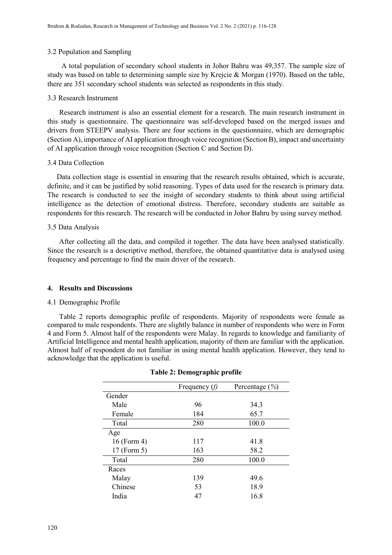#### 3.2 Population and Sampling

A total population of secondary school students in Johor Bahru was 49,357. The sample size of study was based on table to determining sample size by Krejcie & Morgan (1970). Based on the table, there are 351 secondary school students was selected as respondents in this study.

#### 3.3 Research Instrument

Research instrument is also an essential element for a research. The main research instrument in this study is questionnaire. The questionnaire was self-developed based on the merged issues and drivers from STEEPV analysis. There are four sections in the questionnaire, which are demographic (Section A), importance of AI application through voice recognition (Section B), impact and uncertainty of AI application through voice recognition (Section C and Section D).

#### 3.4 Data Collection

Data collection stage is essential in ensuring that the research results obtained, which is accurate, definite, and it can be justified by solid reasoning. Types of data used for the research is primary data. The research is conducted to see the insight of secondary students to think about using artificial intelligence as the detection of emotional distress. Therefore, secondary students are suitable as respondents for this research. The research will be conducted in Johor Bahru by using survey method.

#### 3.5 Data Analysis

After collecting all the data, and compiled it together. The data have been analysed statistically. Since the research is a descriptive method, therefore, the obtained quantitative data is analysed using frequency and percentage to find the main driver of the research.

#### **4. Results and Discussions**

#### 4.1 Demographic Profile

Table 2 reports demographic profile of respondents. Majority of respondents were female as compared to male respondents. There are slightly balance in number of respondents who were in Form 4 and Form 5. Almost half of the respondents were Malay. In regards to knowledge and familiarity of Artificial Intelligence and mental health application, majority of them are familiar with the application. Almost half of respondent do not familiar in using mental health application. However, they tend to acknowledge that the application is useful.

|             | Frequency $(f)$ | Percentage $(\% )$ |
|-------------|-----------------|--------------------|
| Gender      |                 |                    |
| Male        | 96              | 34.3               |
| Female      | 184             | 65.7               |
| Total       | 280             | 100.0              |
| Age         |                 |                    |
| 16 (Form 4) | 117             | 41.8               |
| 17 (Form 5) | 163             | 58.2               |
| Total       | 280             | 100.0              |
| Races       |                 |                    |
| Malay       | 139             | 49.6               |
| Chinese     | 53              | 18.9               |
| India       | 47              | 16.8               |

#### **Table 2: Demographic profile**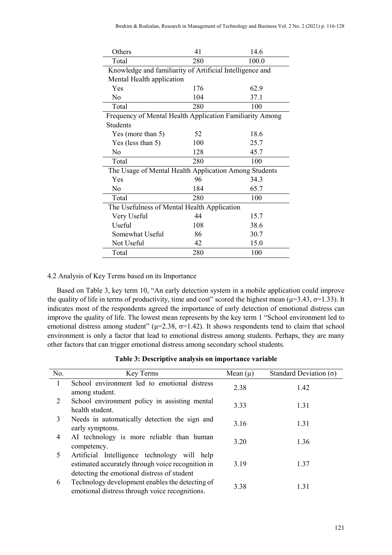| Others                                                   | 41                                          | 14.6  |  |  |  |
|----------------------------------------------------------|---------------------------------------------|-------|--|--|--|
| Total                                                    | 280                                         | 100.0 |  |  |  |
| Knowledge and familiarity of Artificial Intelligence and |                                             |       |  |  |  |
| Mental Health application                                |                                             |       |  |  |  |
| Yes                                                      | 176                                         | 62.9  |  |  |  |
| No                                                       | 104                                         | 37.1  |  |  |  |
| Total                                                    | 280                                         | 100   |  |  |  |
| Frequency of Mental Health Application Familiarity Among |                                             |       |  |  |  |
| <b>Students</b>                                          |                                             |       |  |  |  |
| Yes (more than 5)                                        | 52                                          | 18.6  |  |  |  |
| Yes (less than 5)                                        | 100                                         | 25.7  |  |  |  |
| No                                                       | 128                                         | 45.7  |  |  |  |
| Total                                                    | 280                                         | 100   |  |  |  |
| The Usage of Mental Health Application Among Students    |                                             |       |  |  |  |
| Yes                                                      | 96                                          | 34.3  |  |  |  |
| No                                                       | 184                                         | 65.7  |  |  |  |
| Total                                                    | 280                                         | 100   |  |  |  |
|                                                          | The Usefulness of Mental Health Application |       |  |  |  |
| Very Useful                                              | 44                                          | 15.7  |  |  |  |
| Useful                                                   | 108                                         | 38.6  |  |  |  |
| Somewhat Useful                                          | 86                                          | 30.7  |  |  |  |
| Not Useful                                               | 42                                          | 15.0  |  |  |  |
| Total                                                    | 280                                         | 100   |  |  |  |

## 4.2 Analysis of Key Terms based on its Importance

Based on Table 3, key term 10, "An early detection system in a mobile application could improve the quality of life in terms of productivity, time and cost" scored the highest mean ( $\mu$ =3.43,  $\sigma$ =1.33). It indicates most of the respondents agreed the importance of early detection of emotional distress can improve the quality of life. The lowest mean represents by the key term 1 "School environment led to emotional distress among student" ( $\mu$ =2.38,  $\sigma$ =1.42). It shows respondents tend to claim that school environment is only a factor that lead to emotional distress among students. Perhaps, they are many other factors that can trigger emotional distress among secondary school students.

|  |  |  | Table 3: Descriptive analysis on importance variable |  |
|--|--|--|------------------------------------------------------|--|
|--|--|--|------------------------------------------------------|--|

| No. | Key Terms                                                                                                                                        | Mean $(\mu)$ | Standard Deviation $(\sigma)$ |
|-----|--------------------------------------------------------------------------------------------------------------------------------------------------|--------------|-------------------------------|
| 1   | School environment led to emotional distress<br>among student.                                                                                   | 2.38         | 1.42                          |
| 2   | School environment policy in assisting mental<br>health student.                                                                                 | 3.33         | 1.31                          |
| 3   | Needs in automatically detection the sign and<br>early symptoms.                                                                                 | 3.16         | 1.31                          |
| 4   | AI technology is more reliable than human<br>competency.                                                                                         | 3.20         | 1.36                          |
| 5   | Artificial Intelligence technology will help<br>estimated accurately through voice recognition in<br>detecting the emotional distress of student | 3.19         | 1.37                          |
| 6   | Technology development enables the detecting of<br>emotional distress through voice recognitions.                                                | 3.38         | 1.31                          |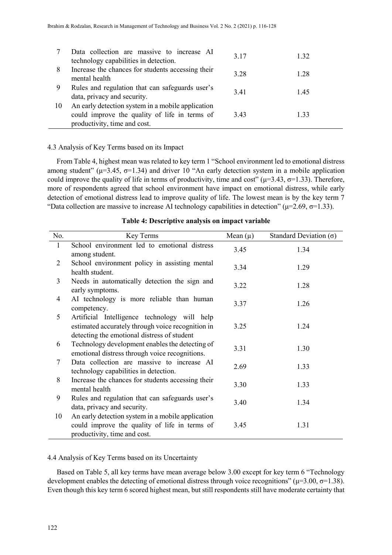|    | Data collection are massive to increase AI        | 3.17 | 1.32 |
|----|---------------------------------------------------|------|------|
|    | technology capabilities in detection.             |      |      |
| 8  | Increase the chances for students accessing their | 3.28 | 1.28 |
|    | mental health                                     |      |      |
| 9  | Rules and regulation that can safeguards user's   | 3.41 | 1.45 |
|    | data, privacy and security.                       |      |      |
| 10 | An early detection system in a mobile application |      |      |
|    | could improve the quality of life in terms of     | 3.43 | 1.33 |
|    | productivity, time and cost.                      |      |      |

#### 4.3 Analysis of Key Terms based on its Impact

From Table 4, highest mean was related to key term 1 "School environment led to emotional distress among student" ( $\mu$ =3.45,  $\sigma$ =1.34) and driver 10 "An early detection system in a mobile application could improve the quality of life in terms of productivity, time and cost" ( $\mu$ =3.43,  $\sigma$ =1.33). Therefore, more of respondents agreed that school environment have impact on emotional distress, while early detection of emotional distress lead to improve quality of life. The lowest mean is by the key term 7 "Data collection are massive to increase AI technology capabilities in detection" ( $\mu$ =2.69,  $\sigma$ =1.33).

| No. | Key Terms                                                                                                                                        | Mean $(\mu)$ | Standard Deviation $(\sigma)$ |
|-----|--------------------------------------------------------------------------------------------------------------------------------------------------|--------------|-------------------------------|
| 1   | School environment led to emotional distress<br>among student.                                                                                   | 3.45         | 1.34                          |
| 2   | School environment policy in assisting mental<br>health student.                                                                                 | 3.34         | 1.29                          |
| 3   | Needs in automatically detection the sign and<br>early symptoms.                                                                                 | 3.22         | 1.28                          |
| 4   | AI technology is more reliable than human<br>competency.                                                                                         | 3.37         | 1.26                          |
| 5   | Artificial Intelligence technology will help<br>estimated accurately through voice recognition in<br>detecting the emotional distress of student | 3.25         | 1.24                          |
| 6   | Technology development enables the detecting of<br>emotional distress through voice recognitions.                                                | 3.31         | 1.30                          |
| 7   | Data collection are massive to increase AI<br>technology capabilities in detection.                                                              | 2.69         | 1.33                          |
| 8   | Increase the chances for students accessing their<br>mental health                                                                               | 3.30         | 1.33                          |
| 9   | Rules and regulation that can safeguards user's<br>data, privacy and security.                                                                   | 3.40         | 1.34                          |
| 10  | An early detection system in a mobile application<br>could improve the quality of life in terms of<br>productivity, time and cost.               | 3.45         | 1.31                          |

#### **Table 4: Descriptive analysis on impact variable**

#### 4.4 Analysis of Key Terms based on its Uncertainty

Based on Table 5, all key terms have mean average below 3.00 except for key term 6 "Technology development enables the detecting of emotional distress through voice recognitions" ( $\mu$ =3.00,  $\sigma$ =1.38). Even though this key term 6 scored highest mean, but still respondents still have moderate certainty that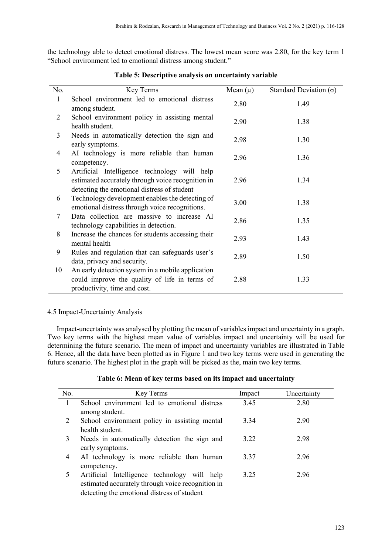the technology able to detect emotional distress. The lowest mean score was 2.80, for the key term 1 "School environment led to emotional distress among student."

| No.          | Key Terms                                                                                                                                        | Mean $(\mu)$ | Standard Deviation $(\sigma)$ |
|--------------|--------------------------------------------------------------------------------------------------------------------------------------------------|--------------|-------------------------------|
| $\mathbf{1}$ | School environment led to emotional distress<br>among student.                                                                                   | 2.80         | 1.49                          |
| 2            | School environment policy in assisting mental<br>health student.                                                                                 | 2.90         | 1.38                          |
| 3            | Needs in automatically detection the sign and<br>early symptoms.                                                                                 | 2.98         | 1.30                          |
| 4            | AI technology is more reliable than human<br>competency.                                                                                         | 2.96         | 1.36                          |
| 5            | Artificial Intelligence technology will help<br>estimated accurately through voice recognition in<br>detecting the emotional distress of student | 2.96         | 1.34                          |
| 6            | Technology development enables the detecting of<br>emotional distress through voice recognitions.                                                | 3.00         | 1.38                          |
| 7            | Data collection are massive to increase AI<br>technology capabilities in detection.                                                              | 2.86         | 1.35                          |
| 8            | Increase the chances for students accessing their<br>mental health                                                                               | 2.93         | 1.43                          |
| 9            | Rules and regulation that can safeguards user's<br>data, privacy and security.                                                                   | 2.89         | 1.50                          |
| 10           | An early detection system in a mobile application<br>could improve the quality of life in terms of<br>productivity, time and cost.               | 2.88         | 1.33                          |

**Table 5: Descriptive analysis on uncertainty variable**

# 4.5 Impact-Uncertainty Analysis

Impact-uncertainty was analysed by plotting the mean of variables impact and uncertainty in a graph. Two key terms with the highest mean value of variables impact and uncertainty will be used for determining the future scenario. The mean of impact and uncertainty variables are illustrated in Table 6. Hence, all the data have been plotted as in Figure 1 and two key terms were used in generating the future scenario. The highest plot in the graph will be picked as the, main two key terms.

|  | Table 6: Mean of key terms based on its impact and uncertainty |
|--|----------------------------------------------------------------|
|  |                                                                |

| No. | Key Terms                                         | Impact | Uncertainty |
|-----|---------------------------------------------------|--------|-------------|
|     | School environment led to emotional distress      | 3.45   | 2.80        |
|     | among student.                                    |        |             |
| 2   | School environment policy in assisting mental     | 3.34   | 2.90        |
|     | health student.                                   |        |             |
| 3   | Needs in automatically detection the sign and     | 3.22   | 2.98        |
|     | early symptoms.                                   |        |             |
| 4   | AI technology is more reliable than human         | 3.37   | 2.96        |
|     | competency.                                       |        |             |
| 5   | Artificial Intelligence technology will help      | 3.25   | 2.96        |
|     | estimated accurately through voice recognition in |        |             |
|     | detecting the emotional distress of student       |        |             |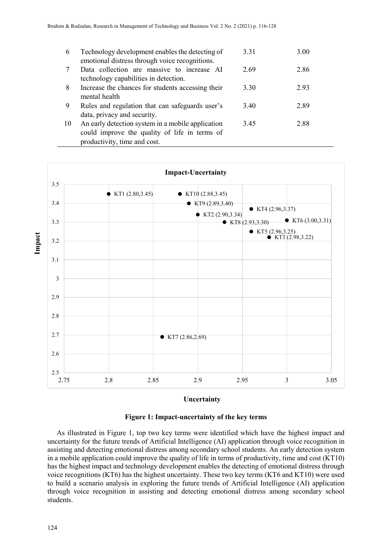| 6  | Technology development enables the detecting of<br>emotional distress through voice recognitions.                                  | 3.31 | 3.00 |
|----|------------------------------------------------------------------------------------------------------------------------------------|------|------|
|    | Data collection are massive to increase AI<br>technology capabilities in detection.                                                | 2.69 | 2.86 |
| 8  | Increase the chances for students accessing their<br>mental health                                                                 | 3.30 | 2.93 |
| 9  | Rules and regulation that can safeguards user's<br>data, privacy and security.                                                     | 3.40 | 2.89 |
| 10 | An early detection system in a mobile application<br>could improve the quality of life in terms of<br>productivity, time and cost. | 3.45 | 2.88 |



#### **Uncertainty**

## **Figure 1: Impact-uncertainty of the key terms**

As illustrated in Figure 1, top two key terms were identified which have the highest impact and uncertainty for the future trends of Artificial Intelligence (AI) application through voice recognition in assisting and detecting emotional distress among secondary school students. An early detection system in a mobile application could improve the quality of life in terms of productivity, time and cost (KT10) has the highest impact and technology development enables the detecting of emotional distress through voice recognitions (KT6) has the highest uncertainty. These two key terms (KT6 and KT10) were used to build a scenario analysis in exploring the future trends of Artificial Intelligence (AI) application through voice recognition in assisting and detecting emotional distress among secondary school students.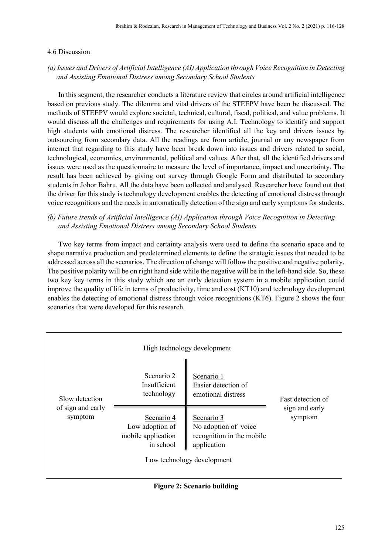#### 4.6 Discussion

# *(a) Issues and Drivers of Artificial Intelligence (AI) Application through Voice Recognition in Detecting and Assisting Emotional Distress among Secondary School Students*

 In this segment, the researcher conducts a literature review that circles around artificial intelligence based on previous study. The dilemma and vital drivers of the STEEPV have been be discussed. The methods of STEEPV would explore societal, technical, cultural, fiscal, political, and value problems. It would discuss all the challenges and requirements for using A.I. Technology to identify and support high students with emotional distress. The researcher identified all the key and drivers issues by outsourcing from secondary data. All the readings are from article, journal or any newspaper from internet that regarding to this study have been break down into issues and drivers related to social, technological, economics, environmental, political and values. After that, all the identified drivers and issues were used as the questionnaire to measure the level of importance, impact and uncertainty. The result has been achieved by giving out survey through Google Form and distributed to secondary students in Johor Bahru. All the data have been collected and analysed. Researcher have found out that the driver for this study is technology development enables the detecting of emotional distress through voice recognitions and the needs in automatically detection of the sign and early symptoms for students.

# *(b) Future trends of Artificial Intelligence (AI) Application through Voice Recognition in Detecting and Assisting Emotional Distress among Secondary School Students*

 Two key terms from impact and certainty analysis were used to define the scenario space and to shape narrative production and predetermined elements to define the strategic issues that needed to be addressed across all the scenarios. The direction of change will follow the positive and negative polarity. The positive polarity will be on right hand side while the negative will be in the left-hand side. So, these two key key terms in this study which are an early detection system in a mobile application could improve the quality of life in terms of productivity, time and cost (KT10) and technology development enables the detecting of emotional distress through voice recognitions (KT6). Figure 2 shows the four scenarios that were developed for this research.

|                              |                                                                  | High technology development                                                                                  |                           |
|------------------------------|------------------------------------------------------------------|--------------------------------------------------------------------------------------------------------------|---------------------------|
| Slow detection               | Scenario 2<br>Insufficient<br>technology                         | Scenario 1<br>Easier detection of<br>emotional distress                                                      | Fast detection of         |
| of sign and early<br>symptom | Scenario 4<br>Low adoption of<br>mobile application<br>in school | Scenario 3<br>No adoption of voice<br>recognition in the mobile<br>application<br>Low technology development | sign and early<br>symptom |

**Figure 2: Scenario building**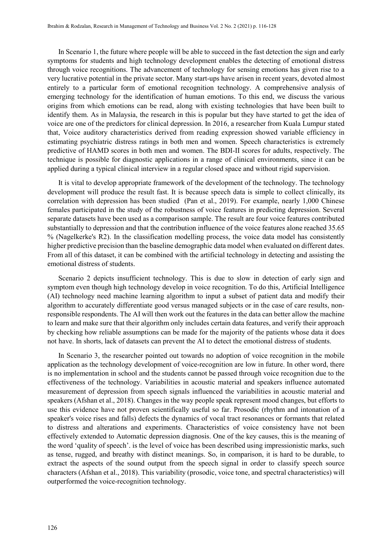In Scenario 1, the future where people will be able to succeed in the fast detection the sign and early symptoms for students and high technology development enables the detecting of emotional distress through voice recognitions. The advancement of technology for sensing emotions has given rise to a very lucrative potential in the private sector. Many start-ups have arisen in recent years, devoted almost entirely to a particular form of emotional recognition technology. A comprehensive analysis of emerging technology for the identification of human emotions. To this end, we discuss the various origins from which emotions can be read, along with existing technologies that have been built to identify them. As in Malaysia, the research in this is popular but they have started to get the idea of voice are one of the predictors for clinical depression. In 2016, a researcher from Kuala Lumpur stated that, Voice auditory characteristics derived from reading expression showed variable efficiency in estimating psychiatric distress ratings in both men and women. Speech characteristics is extremely predictive of HAMD scores in both men and women. The BDI-II scores for adults, respectively. The technique is possible for diagnostic applications in a range of clinical environments, since it can be applied during a typical clinical interview in a regular closed space and without rigid supervision.

 It is vital to develop appropriate framework of the development of the technology. The technology development will produce the result fast. It is because speech data is simple to collect clinically, its correlation with depression has been studied (Pan et al., 2019). For example, nearly 1,000 Chinese females participated in the study of the robustness of voice features in predicting depression. Several separate datasets have been used as a comparison sample. The result are four voice features contributed substantially to depression and that the contribution influence of the voice features alone reached 35.65 % (Nagelkerke's R2). In the classification modelling process, the voice data model has consistently higher predictive precision than the baseline demographic data model when evaluated on different dates. From all of this dataset, it can be combined with the artificial technology in detecting and assisting the emotional distress of students.

 Scenario 2 depicts insufficient technology. This is due to slow in detection of early sign and symptom even though high technology develop in voice recognition. To do this, Artificial Intelligence (AI) technology need machine learning algorithm to input a subset of patient data and modify their algorithm to accurately differentiate good versus managed subjects or in the case of care results, nonresponsible respondents. The AI will then work out the features in the data can better allow the machine to learn and make sure that their algorithm only includes certain data features, and verify their approach by checking how reliable assumptions can be made for the majority of the patients whose data it does not have. In shorts, lack of datasets can prevent the AI to detect the emotional distress of students.

 In Scenario 3, the researcher pointed out towards no adoption of voice recognition in the mobile application as the technology development of voice-recognition are low in future. In other word, there is no implementation in school and the students cannot be passed through voice recognition due to the effectiveness of the technology. Variabilities in acoustic material and speakers influence automated measurement of depression from speech signals influenced the variabilities in acoustic material and speakers (Afshan et al., 2018). Changes in the way people speak represent mood changes, but efforts to use this evidence have not proven scientifically useful so far. Prosodic (rhythm and intonation of a speaker's voice rises and falls) defects the dynamics of vocal tract resonances or formants that related to distress and alterations and experiments. Characteristics of voice consistency have not been effectively extended to Automatic depression diagnosis. One of the key causes, this is the meaning of the word 'quality of speech'. is the level of voice has been described using impressionistic marks, such as tense, rugged, and breathy with distinct meanings. So, in comparison, it is hard to be durable, to extract the aspects of the sound output from the speech signal in order to classify speech source characters (Afshan et al., 2018). This variability (prosodic, voice tone, and spectral characteristics) will outperformed the voice-recognition technology.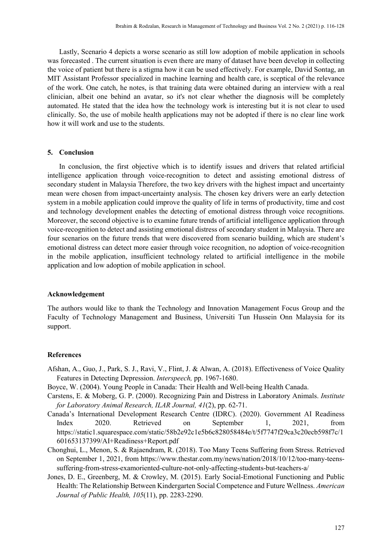Lastly, Scenario 4 depicts a worse scenario as still low adoption of mobile application in schools was forecasted . The current situation is even there are many of dataset have been develop in collecting the voice of patient but there is a stigma how it can be used effectively. For example, David Sontag, an MIT Assistant Professor specialized in machine learning and health care, is sceptical of the relevance of the work. One catch, he notes, is that training data were obtained during an interview with a real clinician, albeit one behind an avatar, so it's not clear whether the diagnosis will be completely automated. He stated that the idea how the technology work is interesting but it is not clear to used clinically. So, the use of mobile health applications may not be adopted if there is no clear line work how it will work and use to the students.

#### **5. Conclusion**

In conclusion, the first objective which is to identify issues and drivers that related artificial intelligence application through voice-recognition to detect and assisting emotional distress of secondary student in Malaysia Therefore, the two key drivers with the highest impact and uncertainty mean were chosen from impact-uncertainty analysis. The chosen key drivers were an early detection system in a mobile application could improve the quality of life in terms of productivity, time and cost and technology development enables the detecting of emotional distress through voice recognitions. Moreover, the second objective is to examine future trends of artificial intelligence application through voice-recognition to detect and assisting emotional distress of secondary student in Malaysia. There are four scenarios on the future trends that were discovered from scenario building, which are student's emotional distress can detect more easier through voice recognition, no adoption of voice-recognition in the mobile application, insufficient technology related to artificial intelligence in the mobile application and low adoption of mobile application in school.

#### **Acknowledgement**

The authors would like to thank the Technology and Innovation Management Focus Group and the Faculty of Technology Management and Business, Universiti Tun Hussein Onn Malaysia for its support.

#### **References**

- Afshan, A., Guo, J., Park, S. J., Ravi, V., Flint, J. & Alwan, A. (2018). Effectiveness of Voice Quality Features in Detecting Depression. *Interspeech,* pp. 1967-1680.
- Boyce, W. (2004). Young People in Canada: Their Health and Well-being Health Canada.
- Carstens, E. & Moberg, G. P. (2000). Recognizing Pain and Distress in Laboratory Animals. *Institute for Laboratory Animal Research, ILAR Journal, 41*(2), pp. 62-71.
- Canada's International Development Research Centre (IDRC). (2020). Government AI Readiness Index 2020. Retrieved on September 1, 2021, from https://static1.squarespace.com/static/58b2e92c1e5b6c828058484e/t/5f7747f29ca3c20ecb598f7c/1 601653137399/AI+Readiness+Report.pdf
- Chonghui, L., Menon, S. & Rajaendram, R. (2018). Too Many Teens Suffering from Stress. Retrieved on September 1, 2021, from https://www.thestar.com.my/news/nation/2018/10/12/too-many-teenssuffering-from-stress-examoriented-culture-not-only-affecting-students-but-teachers-a/
- Jones, D. E., Greenberg, M. & Crowley, M. (2015). Early Social-Emotional Functioning and Public Health: The Relationship Between Kindergarten Social Competence and Future Wellness. *American Journal of Public Health, 105*(11), pp. 2283-2290.